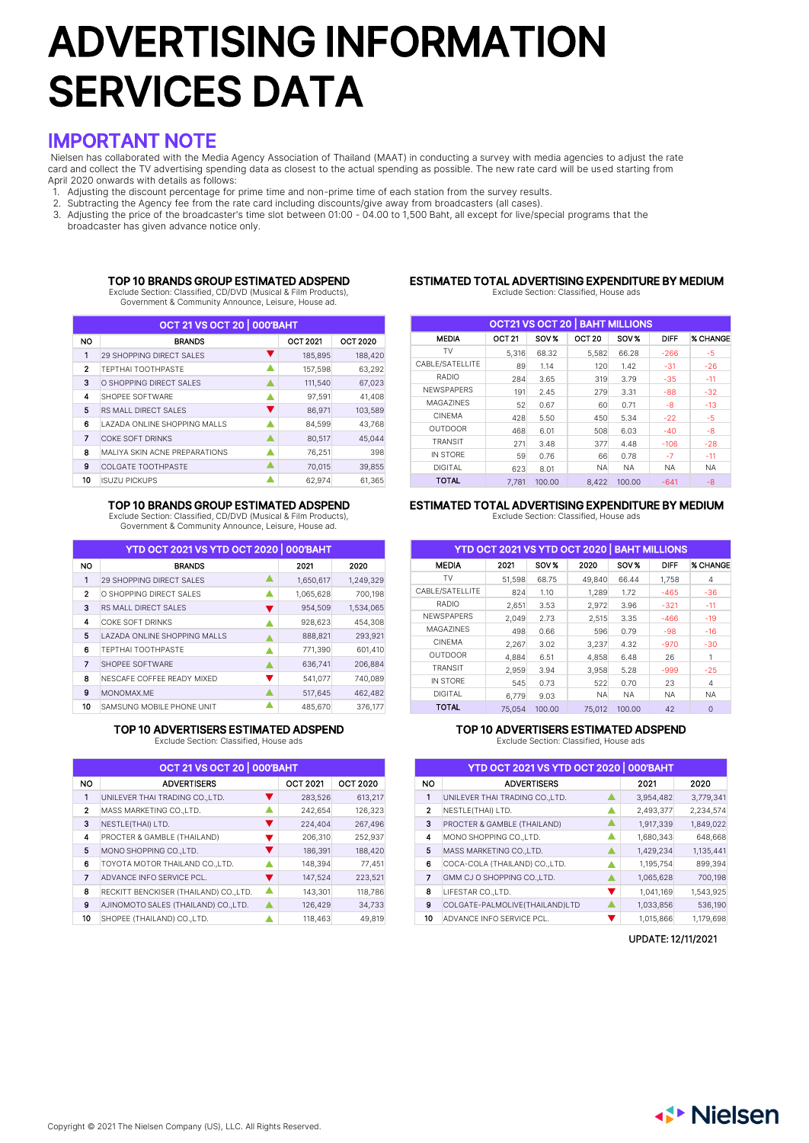# ADVERTISING INFORMATION SERVICES DATA

# IMPORTANT NOTE

Nielsen has collaborated with the Media Agency Association of Thailand (MAAT) in conducting a survey with media agencies to adjust the rate card and collect the TV advertising spending data as closest to the actual spending as possible. The new rate card will be used starting from April 2020 onwards with details as follows:

- 1. Adjusting the discount percentage for prime time and non-prime time of each station from the survey results.
- 2. Subtracting the Agency fee from the rate card including discounts/give away from broadcasters (all cases).

3. Adjusting the price of the broadcaster's time slot between 01:00 - 04.00 to 1,500 Baht, all except for live/special programs that the broadcaster has given advance notice only.

### TOP 10 BRANDS GROUP ESTIMATED ADSPEND

Exclude Section: Classified, CD/DVD (Musical & Film Products), Government & Community Announce, Leisure, House ad.

#### ESTIMATED TOTAL ADVERTISING EXPENDITURE BY MEDIUM Exclude Section: Classified, House ads

| OCT 21 VS OCT 20 000'BAHT |                                |                 |                 |  |  |  |  |  |
|---------------------------|--------------------------------|-----------------|-----------------|--|--|--|--|--|
| <b>NO</b>                 | <b>BRANDS</b>                  | <b>OCT 2021</b> | <b>OCT 2020</b> |  |  |  |  |  |
| 1                         | 29 SHOPPING DIRECT SALES       | 185,895         | 188,420         |  |  |  |  |  |
| $\mathbf{2}$              | TEPTHAI TOOTHPASTE             | 157,598         | 63,292          |  |  |  |  |  |
| 3                         | O SHOPPING DIRECT SALES        | 111,540         | 67,023          |  |  |  |  |  |
| 4                         | SHOPEE SOFTWARE                | 97,591          | 41,408          |  |  |  |  |  |
| 5                         | v<br>RS MALL DIRECT SALES      | 86,971          | 103,589         |  |  |  |  |  |
| 6                         | LAZADA ONLINE SHOPPING MALLS   | 84,599          | 43,768          |  |  |  |  |  |
| 7                         | <b>COKE SOFT DRINKS</b>        | 80,517          | 45,044          |  |  |  |  |  |
| 8                         | MAI IYA SKIN ACNE PREPARATIONS | 76,251          | 398             |  |  |  |  |  |
| 9                         | <b>COLGATE TOOTHPASTE</b>      | 70,015          | 39,855          |  |  |  |  |  |
| 10                        | <b>ISUZU PICKUPS</b>           | 62,974          | 61,365          |  |  |  |  |  |

### TOP 10 BRANDS GROUP ESTIMATED ADSPEND

Exclude Section: Classified, CD/DVD (Musical & Film Products), Government & Community Announce, Leisure, House ad.

|              | YTD OCT 2021 VS YTD OCT 2020 000'BAHT |           |           |
|--------------|---------------------------------------|-----------|-----------|
| <b>NO</b>    | <b>BRANDS</b>                         | 2021      | 2020      |
| 1            | <b>29 SHOPPING DIRECT SALES</b>       | 1,650,617 | 1,249,329 |
| $\mathbf{2}$ | Δ<br>O SHOPPING DIRECT SALES          | 1,065,628 | 700,198   |
| 3            | RS MALL DIRECT SALES<br>v             | 954,509   | 1,534,065 |
| 4            | <b>COKE SOFT DRINKS</b>               | 928,623   | 454,308   |
| 5            | LAZADA ONLINE SHOPPING MALLS          | 888,821   | 293,921   |
| 6            | TEPTHAI TOOTHPASTE<br>Δ               | 771,390   | 601,410   |
| 7            | SHOPEE SOFTWARE                       | 636,741   | 206,884   |
| 8            | v<br>NESCAFE COFFEE READY MIXED       | 541,077   | 740,089   |
| 9            | MONOMAX.ME                            | 517,645   | 462,482   |
| 10           | SAMSUNG MOBILE PHONE UNIT             | 485,670   | 376.177   |

### TOP 10 ADVERTISERS ESTIMATED ADSPEND

Exclude Section: Classified, House ads

| <b>OCT 21 VS OCT 20   000'BAHT</b>           |                                        |  |                 |                 |  |  |  |  |
|----------------------------------------------|----------------------------------------|--|-----------------|-----------------|--|--|--|--|
| <b>NO</b>                                    | <b>ADVERTISERS</b>                     |  | <b>OCT 2021</b> | <b>OCT 2020</b> |  |  |  |  |
| 1                                            | UNILEVER THAI TRADING CO., LTD.        |  | 283,526         | 613,217         |  |  |  |  |
| $\mathbf{2}$                                 | MASS MARKETING CO., LTD.               |  | 242,654         | 126,323         |  |  |  |  |
| 3<br>NESTLE(THAI) LTD.<br>224,404<br>267,496 |                                        |  |                 |                 |  |  |  |  |
| 4                                            | PROCTER & GAMBLE (THAILAND)            |  | 206,310         | 252,937         |  |  |  |  |
| 5                                            | MONO SHOPPING CO., LTD.                |  | 186,391         | 188,420         |  |  |  |  |
| 6                                            | TOYOTA MOTOR THAILAND CO., LTD.        |  | 148,394         | 77,451          |  |  |  |  |
| 7                                            | ADVANCE INFO SERVICE PCL.              |  | 147,524         | 223,521         |  |  |  |  |
| 8                                            | RECKITT BENCKISER (THAILAND) CO., LTD. |  | 143,301         | 118,786         |  |  |  |  |
| 9                                            | AJINOMOTO SALES (THAILAND) CO., LTD.   |  | 126,429         | 34,733          |  |  |  |  |
| 10                                           | SHOPEE (THAILAND) CO.,LTD.             |  | 118,463         | 49,819          |  |  |  |  |

| <b>OCT21 VS OCT 20   BAHT MILLIONS</b> |                   |        |                   |           |             |                 |  |  |
|----------------------------------------|-------------------|--------|-------------------|-----------|-------------|-----------------|--|--|
| <b>MEDIA</b>                           | OCT <sub>21</sub> | SOV %  | OCT <sub>20</sub> | SOV %     | <b>DIFF</b> | <b>% CHANGE</b> |  |  |
| TV                                     | 5,316             | 68.32  | 5,582             | 66.28     | $-266$      | $-5$            |  |  |
| CABLE/SATELLITE                        | 89                | 1.14   | 120               | 1.42      | $-31$       | $-26$           |  |  |
| RADIO                                  | 284               | 3.65   | 319               | 3.79      | $-35$       | $-11$           |  |  |
| <b>NEWSPAPERS</b>                      | 191               | 2.45   | 279               | 3.31      | $-88$       | $-32$           |  |  |
| MAGA7INES                              | 52                | 0.67   | 60                | 0.71      | -8          | $-13$           |  |  |
| <b>CINEMA</b>                          | 428               | 5.50   | 450               | 5.34      | $-22$       | $-5$            |  |  |
| <b>OUTDOOR</b>                         | 468               | 6.01   | 508               | 6.03      | $-40$       | $-8$            |  |  |
| <b>TRANSIT</b>                         | 271               | 3.48   | 377               | 4.48      | $-106$      | $-28$           |  |  |
| IN STORF                               | 59                | 0.76   | 66                | 0.78      | $-7$        | $-11$           |  |  |
| <b>DIGITAL</b>                         | 623               | 8.01   | <b>NA</b>         | <b>NA</b> | <b>NA</b>   | <b>NA</b>       |  |  |
| <b>TOTAL</b>                           | 7.781             | 100.00 | 8.422             | 100.00    | $-641$      | $-8$            |  |  |

### ESTIMATED TOTAL ADVERTISING EXPENDITURE BY MEDIUM Exclude Section: Classified, House ads

|                   |        |        | YTD OCT 2021 VS YTD OCT 2020   BAHT MILLIONS |           |             |                 |
|-------------------|--------|--------|----------------------------------------------|-----------|-------------|-----------------|
| <b>MEDIA</b>      | 2021   | SOV %  | 2020                                         | SOV %     | <b>DIFF</b> | <b>% CHANGE</b> |
| TV                | 51,598 | 68.75  | 49.840                                       | 66.44     | 1,758       | 4               |
| CABLE/SATELLITE   | 824    | 1.10   | 1,289                                        | 1.72      | $-465$      | $-36$           |
| RADIO             | 2,651  | 3.53   | 2,972                                        | 3.96      | $-321$      | $-11$           |
| <b>NEWSPAPERS</b> | 2,049  | 2.73   | 2,515                                        | 3.35      | $-466$      | $-19$           |
| MAGA7INES         | 498    | 0.66   | 596                                          | 0.79      | $-98$       | $-16$           |
| <b>CINEMA</b>     | 2,267  | 3.02   | 3,237                                        | 4.32      | $-970$      | $-30$           |
| <b>OUTDOOR</b>    | 4,884  | 6.51   | 4,858                                        | 6.48      | 26          | 1               |
| <b>TRANSIT</b>    | 2.959  | 3.94   | 3.958                                        | 5.28      | $-999$      | $-25$           |
| IN STORE          | 545    | 0.73   | 522                                          | 0.70      | 23          | $\overline{4}$  |
| <b>DIGITAL</b>    | 6,779  | 9.03   | NA.                                          | <b>NA</b> | <b>NA</b>   | <b>NA</b>       |
| <b>TOTAL</b>      | 75.054 | 100.00 | 75,012                                       | 100.00    | 42          | $\overline{0}$  |

### TOP 10 ADVERTISERS ESTIMATED ADSPEND

Exclude Section: Classified, House ads

| YTD OCT 2021 VS YTD OCT 2020   000'BAHT |                                 |           |           |  |  |  |  |  |  |
|-----------------------------------------|---------------------------------|-----------|-----------|--|--|--|--|--|--|
| NO                                      | <b>ADVERTISERS</b>              | 2021      | 2020      |  |  |  |  |  |  |
| 1                                       | UNILEVER THAI TRADING CO., LTD. | 3,954,482 | 3,779,341 |  |  |  |  |  |  |
| $\mathbf{2}$                            | NESTLE(THAI) LTD.               | 2,493,377 | 2,234,574 |  |  |  |  |  |  |
| 3                                       | PROCTER & GAMBLE (THAILAND)     | 1,917,339 | 1,849,022 |  |  |  |  |  |  |
| 4                                       | MONO SHOPPING CO., LTD.         | 1,680,343 | 648,668   |  |  |  |  |  |  |
| 5                                       | MASS MARKETING CO., LTD.        | 1,429,234 | 1,135,441 |  |  |  |  |  |  |
| 6                                       | COCA-COLA (THAILAND) CO., LTD.  | 1,195,754 | 899,394   |  |  |  |  |  |  |
| 7                                       | GMM CJ O SHOPPING CO., LTD.     | 1,065,628 | 700,198   |  |  |  |  |  |  |
| 8                                       | LIFESTAR CO., LTD.              | 1,041,169 | 1,543,925 |  |  |  |  |  |  |
| 9                                       | COLGATE-PALMOLIVE(THAILAND)LTD  | 1,033,856 | 536,190   |  |  |  |  |  |  |
| 10                                      | ADVANCE INFO SERVICE PCL.       | 1,015,866 | 1,179,698 |  |  |  |  |  |  |

UPDATE: 12/11/2021